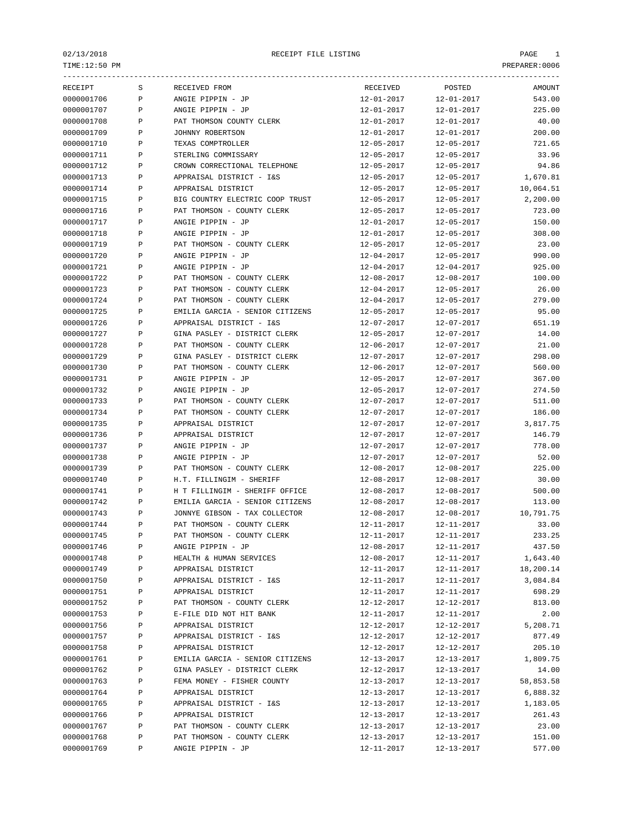TIME:12:50 PM PREPARER:0006

|                          |              | ----------------------          | ------------------------------ |                                |           |
|--------------------------|--------------|---------------------------------|--------------------------------|--------------------------------|-----------|
| RECEIPT                  | S            | RECEIVED FROM                   | RECEIVED                       | POSTED                         | AMOUNT    |
| 0000001706               | P            | ANGIE PIPPIN - JP               | $12 - 01 - 2017$               | $12 - 01 - 2017$               | 543.00    |
| 0000001707               | $\, {\bf P}$ | ANGIE PIPPIN - JP               | $12 - 01 - 2017$               | $12 - 01 - 2017$               | 225.00    |
| 0000001708               | Ρ            | PAT THOMSON COUNTY CLERK        | $12 - 01 - 2017$               | $12 - 01 - 2017$               | 40.00     |
| 0000001709               | $\, {\bf P}$ | JOHNNY ROBERTSON                | $12 - 01 - 2017$               | $12 - 01 - 2017$               | 200.00    |
| 0000001710               | P            | TEXAS COMPTROLLER               | $12 - 05 - 2017$               | $12 - 05 - 2017$               | 721.65    |
| 0000001711               | P            | STERLING COMMISSARY             | $12 - 05 - 2017$               | $12 - 05 - 2017$               | 33.96     |
| 0000001712               | P            | CROWN CORRECTIONAL TELEPHONE    | $12 - 05 - 2017$               | $12 - 05 - 2017$               | 94.86     |
| 0000001713               | $\, {\bf P}$ | APPRAISAL DISTRICT - I&S        | $12 - 05 - 2017$               | $12 - 05 - 2017$               | 1,670.81  |
| 0000001714               | $\, {\bf P}$ | APPRAISAL DISTRICT              | $12 - 05 - 2017$               | $12 - 05 - 2017$               | 10,064.51 |
| 0000001715               | P            | BIG COUNTRY ELECTRIC COOP TRUST | $12 - 05 - 2017$               | $12 - 05 - 2017$               | 2,200.00  |
| 0000001716               | P            | PAT THOMSON - COUNTY CLERK      | $12 - 05 - 2017$               | $12 - 05 - 2017$               | 723.00    |
| 0000001717               | P            | ANGIE PIPPIN - JP               | $12 - 01 - 2017$               | $12 - 05 - 2017$               | 150.00    |
| 0000001718               | $\, {\bf P}$ | ANGIE PIPPIN - JP               | $12 - 01 - 2017$               | $12 - 05 - 2017$               | 308.00    |
| 0000001719               | $\, {\bf P}$ | PAT THOMSON - COUNTY CLERK      | $12 - 05 - 2017$               | $12 - 05 - 2017$               | 23.00     |
| 0000001720               | $\, {\bf P}$ | ANGIE PIPPIN - JP               | $12 - 04 - 2017$               | $12 - 05 - 2017$               | 990.00    |
| 0000001721               | P            | ANGIE PIPPIN - JP               | $12 - 04 - 2017$               | $12 - 04 - 2017$               | 925.00    |
| 0000001722               | P            | PAT THOMSON - COUNTY CLERK      | $12 - 08 - 2017$               | 12-08-2017                     | 100.00    |
| 0000001723               | P            | PAT THOMSON - COUNTY CLERK      | $12 - 04 - 2017$               | $12 - 05 - 2017$               | 26.00     |
| 0000001724               | $\, {\bf P}$ | PAT THOMSON - COUNTY CLERK      | $12 - 04 - 2017$               | $12 - 05 - 2017$               | 279.00    |
| 0000001725               | $\, {\bf P}$ | EMILIA GARCIA - SENIOR CITIZENS | $12 - 05 - 2017$               | $12 - 05 - 2017$               | 95.00     |
| 0000001726               | P            | APPRAISAL DISTRICT - I&S        | $12 - 07 - 2017$               | $12 - 07 - 2017$               | 651.19    |
| 0000001727               | P            | GINA PASLEY - DISTRICT CLERK    | $12 - 05 - 2017$               | $12 - 07 - 2017$               | 14.00     |
| 0000001728               | P            | PAT THOMSON - COUNTY CLERK      | $12 - 06 - 2017$               | 12-07-2017                     | 21.00     |
| 0000001729               | $\, {\bf P}$ | GINA PASLEY - DISTRICT CLERK    | 12-07-2017                     | 12-07-2017                     | 298.00    |
| 0000001730               | Ρ            | PAT THOMSON - COUNTY CLERK      | $12 - 06 - 2017$               | 12-07-2017                     | 560.00    |
| 0000001731               | $\, {\bf P}$ | ANGIE PIPPIN - JP               | $12 - 05 - 2017$               | $12 - 07 - 2017$               | 367.00    |
| 0000001732               | P            | ANGIE PIPPIN - JP               | $12 - 05 - 2017$               | $12 - 07 - 2017$               | 274.50    |
| 0000001733               | P            | PAT THOMSON - COUNTY CLERK      | 12-07-2017                     | 12-07-2017                     | 511.00    |
| 0000001734               | P            | PAT THOMSON - COUNTY CLERK      | $12 - 07 - 2017$               | 12-07-2017                     | 186.00    |
| 0000001735               | P            | APPRAISAL DISTRICT              | $12 - 07 - 2017$               | 12-07-2017                     | 3,817.75  |
| 0000001736               | $\, {\bf P}$ | APPRAISAL DISTRICT              | $12 - 07 - 2017$               | $12 - 07 - 2017$               | 146.79    |
| 0000001737               | P            | ANGIE PIPPIN - JP               | $12 - 07 - 2017$               | $12 - 07 - 2017$               | 778.00    |
| 0000001738               | P            | ANGIE PIPPIN - JP               | $12 - 07 - 2017$               | $12 - 07 - 2017$               | 52.00     |
| 0000001739               | P            | PAT THOMSON - COUNTY CLERK      | $12 - 08 - 2017$               |                                | 225.00    |
| 0000001740               | $\, {\bf P}$ | H.T. FILLINGIM - SHERIFF        | $12 - 08 - 2017$               | 12-08-2017<br>$12 - 08 - 2017$ | 30.00     |
| 0000001741               |              |                                 |                                |                                |           |
|                          | Ρ<br>P       | H T FILLINGIM - SHERIFF OFFICE  | $12 - 08 - 2017$               | $12 - 08 - 2017$               | 500.00    |
| 0000001742<br>0000001743 |              | EMILIA GARCIA - SENIOR CITIZENS | $12 - 08 - 2017$               | $12 - 08 - 2017$               | 113.00    |
|                          | P            | JONNYE GIBSON - TAX COLLECTOR   | $12 - 08 - 2017$               | $12 - 08 - 2017$               | 10,791.75 |
| 0000001744               | P            | PAT THOMSON - COUNTY CLERK      | $12 - 11 - 2017$               | $12 - 11 - 2017$               | 33.00     |
| 0000001745               | P            | PAT THOMSON - COUNTY CLERK      | $12 - 11 - 2017$               | $12 - 11 - 2017$               | 233.25    |
| 0000001746               | Ρ            | ANGIE PIPPIN - JP               | 12-08-2017                     | 12-11-2017                     | 437.50    |
| 0000001748               | Ρ            | HEALTH & HUMAN SERVICES         | $12 - 08 - 2017$               | 12-11-2017                     | 1,643.40  |
| 0000001749               | Ρ            | APPRAISAL DISTRICT              | 12-11-2017                     | $12 - 11 - 2017$               | 18,200.14 |
| 0000001750               | Ρ            | APPRAISAL DISTRICT - I&S        | 12-11-2017                     | 12-11-2017                     | 3,084.84  |
| 0000001751               | P            | APPRAISAL DISTRICT              | 12-11-2017                     | 12-11-2017                     | 698.29    |
| 0000001752               | Ρ            | PAT THOMSON - COUNTY CLERK      | 12-12-2017                     | 12-12-2017                     | 813.00    |
| 0000001753               | Ρ            | E-FILE DID NOT HIT BANK         | $12 - 11 - 2017$               | $12 - 11 - 2017$               | 2.00      |
| 0000001756               | Ρ            | APPRAISAL DISTRICT              | 12-12-2017                     | $12 - 12 - 2017$               | 5,208.71  |
| 0000001757               | Ρ            | APPRAISAL DISTRICT - I&S        | $12 - 12 - 2017$               | 12-12-2017                     | 877.49    |
| 0000001758               | Ρ            | APPRAISAL DISTRICT              | 12-12-2017                     | 12-12-2017                     | 205.10    |
| 0000001761               | Ρ            | EMILIA GARCIA - SENIOR CITIZENS | $12 - 13 - 2017$               | 12-13-2017                     | 1,809.75  |
| 0000001762               | Ρ            | GINA PASLEY - DISTRICT CLERK    | 12-12-2017                     | 12-13-2017                     | 14.00     |
| 0000001763               | Ρ            | FEMA MONEY - FISHER COUNTY      | 12-13-2017                     | 12-13-2017                     | 58,853.58 |
| 0000001764               | Ρ            | APPRAISAL DISTRICT              | 12-13-2017                     | 12-13-2017                     | 6,888.32  |
| 0000001765               | Ρ            | APPRAISAL DISTRICT - I&S        | $12 - 13 - 2017$               | 12-13-2017                     | 1,183.05  |
| 0000001766               | P            | APPRAISAL DISTRICT              | 12-13-2017                     | 12-13-2017                     | 261.43    |
| 0000001767               | Ρ            | PAT THOMSON - COUNTY CLERK      | 12-13-2017                     | 12-13-2017                     | 23.00     |
| 0000001768               | Ρ            | PAT THOMSON - COUNTY CLERK      | $12 - 13 - 2017$               | $12 - 13 - 2017$               | 151.00    |
| 0000001769               | Ρ            | ANGIE PIPPIN - JP               | 12-11-2017                     | $12 - 13 - 2017$               | 577.00    |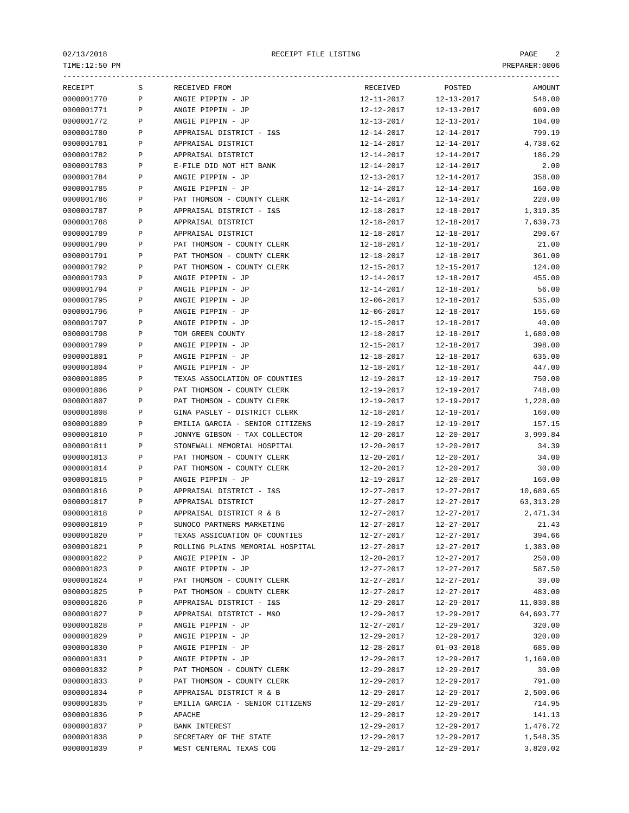TIME:12:50 PM PREPARER:0006

| RECEIPT                  | S            | RECEIVED FROM                                     | RECEIVED                       | POSTED           | <b>AMOUNT</b>   |
|--------------------------|--------------|---------------------------------------------------|--------------------------------|------------------|-----------------|
| 0000001770               | $\, {\bf P}$ | ANGIE PIPPIN - JP                                 | $12 - 11 - 2017$               | $12 - 13 - 2017$ | 548.00          |
| 0000001771               | P            | ANGIE PIPPIN - JP                                 | $12 - 12 - 2017$               | $12 - 13 - 2017$ | 609.00          |
| 0000001772               | Ρ            | ANGIE PIPPIN - JP                                 | $12 - 13 - 2017$               | $12 - 13 - 2017$ | 104.00          |
| 0000001780               | P            | APPRAISAL DISTRICT - I&S                          | $12 - 14 - 2017$               | $12 - 14 - 2017$ | 799.19          |
| 0000001781               | $\, {\bf P}$ | APPRAISAL DISTRICT                                | $12 - 14 - 2017$               | $12 - 14 - 2017$ | 4,738.62        |
| 0000001782               | Ρ            | APPRAISAL DISTRICT                                | $12 - 14 - 2017$               | $12 - 14 - 2017$ | 186.29          |
| 0000001783               | Ρ            | E-FILE DID NOT HIT BANK                           | $12 - 14 - 2017$               | $12 - 14 - 2017$ | 2.00            |
| 0000001784               | Ρ            | ANGIE PIPPIN - JP                                 | $12 - 13 - 2017$               | $12 - 14 - 2017$ | 358.00          |
| 0000001785               | P            | ANGIE PIPPIN - JP                                 | $12 - 14 - 2017$               | $12 - 14 - 2017$ | 160.00          |
| 0000001786               | $\, {\bf P}$ | PAT THOMSON - COUNTY CLERK                        | $12 - 14 - 2017$               | $12 - 14 - 2017$ | 220.00          |
| 0000001787               | Ρ            | APPRAISAL DISTRICT - I&S                          | $12 - 18 - 2017$               | $12 - 18 - 2017$ | 1,319.35        |
| 0000001788               | P            | APPRAISAL DISTRICT                                | $12 - 18 - 2017$               | $12 - 18 - 2017$ | 7,639.73        |
| 0000001789               | $\, {\bf P}$ | APPRAISAL DISTRICT                                | $12 - 18 - 2017$               | $12 - 18 - 2017$ | 290.67          |
| 0000001790               | P            | PAT THOMSON - COUNTY CLERK                        | $12 - 18 - 2017$               | $12 - 18 - 2017$ | 21.00           |
| 0000001791               | $\, {\bf P}$ | PAT THOMSON - COUNTY CLERK                        | $12 - 18 - 2017$               | $12 - 18 - 2017$ | 361.00          |
| 0000001792               | $\, {\bf P}$ | PAT THOMSON - COUNTY CLERK                        | $12 - 15 - 2017$               | $12 - 15 - 2017$ | 124.00          |
| 0000001793               | Ρ            | ANGIE PIPPIN - JP                                 | $12 - 14 - 2017$               | $12 - 18 - 2017$ | 455.00          |
| 0000001794               | Ρ            | ANGIE PIPPIN - JP                                 | $12 - 14 - 2017$               | $12 - 18 - 2017$ | 56.00           |
| 0000001795               | Ρ            | ANGIE PIPPIN - JP                                 | $12 - 06 - 2017$               | $12 - 18 - 2017$ | 535.00          |
| 0000001796               | Ρ            | ANGIE PIPPIN - JP                                 | $12 - 06 - 2017$               | $12 - 18 - 2017$ | 155.60          |
| 0000001797               | P            | ANGIE PIPPIN - JP                                 | $12 - 15 - 2017$               | $12 - 18 - 2017$ | 40.00           |
| 0000001798               | P            | TOM GREEN COUNTY                                  | $12 - 18 - 2017$               | $12 - 18 - 2017$ | 1,680.00        |
| 0000001799               | Ρ            | ANGIE PIPPIN - JP                                 | $12 - 15 - 2017$               | $12 - 18 - 2017$ | 398.00          |
| 0000001801               | P            | ANGIE PIPPIN - JP                                 | $12 - 18 - 2017$               | $12 - 18 - 2017$ | 635.00          |
| 0000001804               | P            | ANGIE PIPPIN - JP                                 | $12 - 18 - 2017$               | $12 - 18 - 2017$ | 447.00          |
| 0000001805               | P            | TEXAS ASSOCLATION OF COUNTIES                     | $12 - 19 - 2017$               | $12 - 19 - 2017$ | 750.00          |
| 0000001806               | $\, {\bf P}$ | PAT THOMSON - COUNTY CLERK                        | $12 - 19 - 2017$               | $12 - 19 - 2017$ | 748.00          |
| 0000001807               | Ρ            | PAT THOMSON - COUNTY CLERK                        | $12 - 19 - 2017$               | $12 - 19 - 2017$ | 1,228.00        |
| 0000001808               | Ρ            | GINA PASLEY - DISTRICT CLERK                      | $12 - 18 - 2017$               | $12 - 19 - 2017$ | 160.00          |
| 0000001809               | Ρ            | EMILIA GARCIA - SENIOR CITIZENS                   | $12 - 19 - 2017$               | $12 - 19 - 2017$ | 157.15          |
| 0000001810               | P            | JONNYE GIBSON - TAX COLLECTOR                     | $12 - 20 - 2017$               | $12 - 20 - 2017$ | 3,999.84        |
| 0000001811               | P            | STONEWALL MEMORIAL HOSPITAL                       | $12 - 20 - 2017$               | $12 - 20 - 2017$ | 34.39           |
| 0000001813               | P            | PAT THOMSON - COUNTY CLERK                        | $12 - 20 - 2017$               | $12 - 20 - 2017$ | 34.00           |
| 0000001814               | P            | PAT THOMSON - COUNTY CLERK                        | $12 - 20 - 2017$               | $12 - 20 - 2017$ | 30.00           |
| 0000001815               | $\, {\bf P}$ | ANGIE PIPPIN - JP                                 | 12-19-2017                     | $12 - 20 - 2017$ | 160.00          |
| 0000001816               | Ρ            | APPRAISAL DISTRICT - I&S                          | $12 - 27 - 2017$               | $12 - 27 - 2017$ | 10,689.65       |
| 0000001817               | P            | APPRAISAL DISTRICT                                | $12 - 27 - 2017$               | $12 - 27 - 2017$ | 63, 313. 20     |
| 0000001818               | $\, {\bf P}$ | APPRAISAL DISTRICT R & B                          | 12-27-2017                     | 12-27-2017       | 2,471.34        |
| 0000001819               | Р            | SUNOCO PARTNERS MARKETING                         | $12 - 27 - 2017$               | $12 - 27 - 2017$ | 21.43           |
| 0000001820               | Ρ            | TEXAS ASSICUATION OF COUNTIES                     | 12-27-2017                     | 12-27-2017       | 394.66          |
| 0000001821               | Ρ            | ROLLING PLAINS MEMORIAL HOSPITAL                  | 12-27-2017                     | $12 - 27 - 2017$ | 1,383.00        |
| 0000001822               | Ρ            | ANGIE PIPPIN - JP                                 | $12 - 20 - 2017$               | 12-27-2017       | 250.00          |
| 0000001823               | Ρ            | ANGIE PIPPIN - JP                                 | $12 - 27 - 2017$               | $12 - 27 - 2017$ | 587.50          |
| 0000001824               | Ρ            | PAT THOMSON - COUNTY CLERK                        | 12-27-2017                     | 12-27-2017       | 39.00           |
| 0000001825               | Ρ            | PAT THOMSON - COUNTY CLERK                        | 12-27-2017                     | 12-27-2017       | 483.00          |
| 0000001826               | Ρ            | APPRAISAL DISTRICT - I&S                          | $12 - 29 - 2017$               | 12-29-2017       | 11,030.88       |
| 0000001827               | Ρ            | APPRAISAL DISTRICT - M&O                          | 12-29-2017                     | 12-29-2017       | 64,693.77       |
| 0000001828               | Ρ            | ANGIE PIPPIN - JP                                 | $12 - 27 - 2017$               | $12 - 29 - 2017$ | 320.00          |
| 0000001829               | Ρ            | ANGIE PIPPIN - JP                                 | 12-29-2017                     | 12-29-2017       | 320.00          |
| 0000001830               | P            | ANGIE PIPPIN - JP                                 | $12 - 28 - 2017$               | $01 - 03 - 2018$ | 685.00          |
| 0000001831               | Ρ            | ANGIE PIPPIN - JP                                 | 12-29-2017                     | 12-29-2017       | 1,169.00        |
| 0000001832               | Ρ            | PAT THOMSON - COUNTY CLERK                        |                                | 12-29-2017       |                 |
| 0000001833               | Ρ            | PAT THOMSON - COUNTY CLERK                        | 12-29-2017<br>$12 - 29 - 2017$ | 12-29-2017       | 30.00<br>791.00 |
| 0000001834               | Ρ            | APPRAISAL DISTRICT R & B                          | 12-29-2017                     | 12-29-2017       | 2,500.06        |
| 0000001835               | Ρ            | EMILIA GARCIA - SENIOR CITIZENS                   | 12-29-2017                     | 12-29-2017       | 714.95          |
| 0000001836               | Ρ            | APACHE                                            | 12-29-2017                     | 12-29-2017       | 141.13          |
| 0000001837               | Ρ            | BANK INTEREST                                     | 12-29-2017                     | 12-29-2017       | 1,476.72        |
|                          |              |                                                   |                                |                  |                 |
| 0000001838<br>0000001839 | Ρ<br>Ρ       | SECRETARY OF THE STATE<br>WEST CENTERAL TEXAS COG | 12-29-2017                     | 12-29-2017       | 1,548.35        |
|                          |              |                                                   | $12 - 29 - 2017$               | $12 - 29 - 2017$ | 3,820.02        |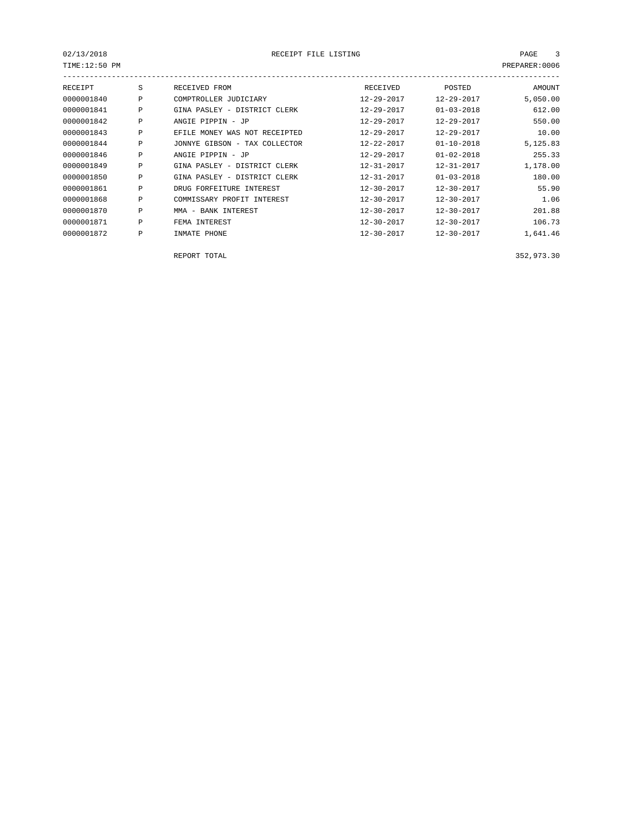TIME:12:50 PM PREPARER:0006

| RECEIPT    | S | RECEIVED FROM                 | RECEIVED         | POSTED           | <b>AMOUNT</b> |
|------------|---|-------------------------------|------------------|------------------|---------------|
| 0000001840 | P | COMPTROLLER JUDICIARY         | $12 - 29 - 2017$ | $12 - 29 - 2017$ | 5,050.00      |
| 0000001841 | P | GINA PASLEY - DISTRICT CLERK  | $12 - 29 - 2017$ | $01 - 03 - 2018$ | 612.00        |
| 0000001842 | P | ANGIE PIPPIN - JP             | $12 - 29 - 2017$ | $12 - 29 - 2017$ | 550.00        |
| 0000001843 | P | EFILE MONEY WAS NOT RECEIPTED | $12 - 29 - 2017$ | $12 - 29 - 2017$ | 10.00         |
| 0000001844 | P | JONNYE GIBSON - TAX COLLECTOR | $12 - 22 - 2017$ | $01 - 10 - 2018$ | 5,125.83      |
| 0000001846 | P | ANGIE PIPPIN - JP             | $12 - 29 - 2017$ | $01 - 02 - 2018$ | 255.33        |
| 0000001849 | P | GINA PASLEY - DISTRICT CLERK  | $12 - 31 - 2017$ | $12 - 31 - 2017$ | 1,178.00      |
| 0000001850 | P | GINA PASLEY - DISTRICT CLERK  | $12 - 31 - 2017$ | $01 - 03 - 2018$ | 180.00        |
| 0000001861 | P | DRUG FORFEITURE INTEREST      | $12 - 30 - 2017$ | $12 - 30 - 2017$ | 55.90         |
| 0000001868 | P | COMMISSARY PROFIT INTEREST    | $12 - 30 - 2017$ | $12 - 30 - 2017$ | 1.06          |
| 0000001870 | P | MMA - BANK INTEREST           | $12 - 30 - 2017$ | $12 - 30 - 2017$ | 201.88        |
| 0000001871 | P | FEMA INTEREST                 | $12 - 30 - 2017$ | $12 - 30 - 2017$ | 106.73        |
| 0000001872 | P | INMATE PHONE                  | $12 - 30 - 2017$ | $12 - 30 - 2017$ | 1,641.46      |
|            |   |                               |                  |                  |               |

REPORT TOTAL 352,973.30